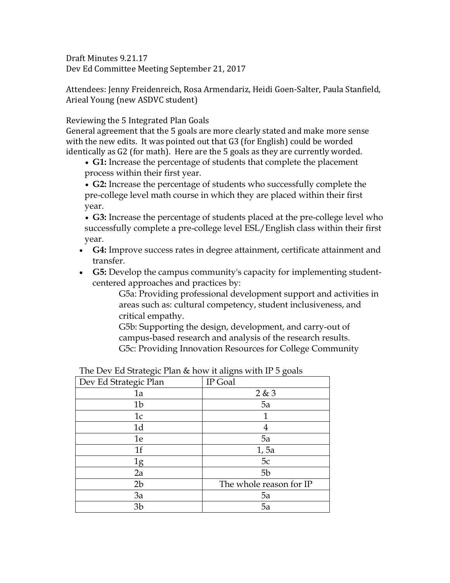Draft Minutes 9.21.17 Dev Ed Committee Meeting September 21, 2017

Attendees: Jenny Freidenreich, Rosa Armendariz, Heidi Goen-Salter, Paula Stanfield, Arieal Young (new ASDVC student)

Reviewing the 5 Integrated Plan Goals

General agreement that the 5 goals are more clearly stated and make more sense with the new edits. It was pointed out that G3 (for English) could be worded identically as G2 (for math). Here are the 5 goals as they are currently worded.

 **G1:** Increase the percentage of students that complete the placement process within their first year.

 **G2:** Increase the percentage of students who successfully complete the pre-college level math course in which they are placed within their first year.

 **G3:** Increase the percentage of students placed at the pre-college level who successfully complete a pre-college level ESL/English class within their first year.

- **G4:** Improve success rates in degree attainment, certificate attainment and transfer.
- **G5:** Develop the campus community's capacity for implementing studentcentered approaches and practices by:

G5a: Providing professional development support and activities in areas such as: cultural competency, student inclusiveness, and critical empathy.

G5b: Supporting the design, development, and carry-out of campus-based research and analysis of the research results. G5c: Providing Innovation Resources for College Community

| $\sigma$              | ◯<br>$\sigma$           |
|-----------------------|-------------------------|
| Dev Ed Strategic Plan | IP Goal                 |
| 1a                    | 2 & 3                   |
| 1 <sub>b</sub>        | 5a                      |
| 1c                    | 1                       |
| 1 <sub>d</sub>        | 4                       |
| 1e                    | 5a                      |
| 1 <sub>f</sub>        | 1, 5a                   |
| 1g                    | 5c                      |
| 2a                    | 5b                      |
| 2 <sub>b</sub>        | The whole reason for IP |
| 3a                    | 5a                      |
| 3 <sub>b</sub>        | 5a                      |

The Dev Ed Strategic Plan & how it aligns with IP 5 goals